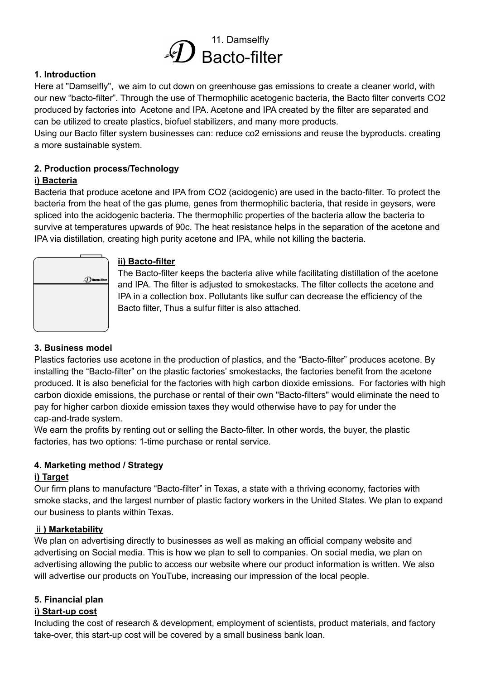

## **1. Introduction**

Here at "Damselfly", we aim to cut down on greenhouse gas emissions to create a cleaner world, with our new "bacto-filter". Through the use of Thermophilic acetogenic bacteria, the Bacto filter converts CO2 produced by factories into Acetone and IPA. Acetone and IPA created by the filter are separated and can be utilized to create plastics, biofuel stabilizers, and many more products.

Using our Bacto filter system businesses can: reduce co2 emissions and reuse the byproducts. creating a more sustainable system.

### **2. Production process/Technology**

### **i) Bacteria**

Bacteria that produce acetone and IPA from CO2 (acidogenic) are used in the bacto-filter. To protect the bacteria from the heat of the gas plume, genes from thermophilic bacteria, that reside in geysers, were spliced into the acidogenic bacteria. The thermophilic properties of the bacteria allow the bacteria to survive at temperatures upwards of 90c. The heat resistance helps in the separation of the acetone and IPA via distillation, creating high purity acetone and IPA, while not killing the bacteria.



#### **ii) Bacto-filter**

The Bacto-filter keeps the bacteria alive while facilitating distillation of the acetone and IPA. The filter is adjusted to smokestacks. The filter collects the acetone and IPA in a collection box. Pollutants like sulfur can decrease the efficiency of the Bacto filter, Thus a sulfur filter is also attached.

## **3. Business model**

Plastics factories use acetone in the production of plastics, and the "Bacto-filter" produces acetone. By installing the "Bacto-filter" on the plastic factories' smokestacks, the factories benefit from the acetone produced. It is also beneficial for the factories with high carbon dioxide emissions. For factories with high carbon dioxide emissions, the purchase or rental of their own "Bacto-filters" would eliminate the need to pay for higher carbon dioxide emission taxes they would otherwise have to pay for under the cap-and-trade system.

We earn the profits by renting out or selling the Bacto-filter. In other words, the buyer, the plastic factories, has two options: 1-time purchase or rental service.

## **4. Marketing method / Strategy**

#### **i) Target**

Our firm plans to manufacture "Bacto-filter" in Texas, a state with a thriving economy, factories with smoke stacks, and the largest number of plastic factory workers in the United States. We plan to expand our business to plants within Texas.

#### ⅱ**) Marketability**

We plan on advertising directly to businesses as well as making an official company website and advertising on Social media. This is how we plan to sell to companies. On social media, we plan on advertising allowing the public to access our website where our product information is written. We also will advertise our products on YouTube, increasing our impression of the local people.

## **5. Financial plan**

## **i) Start-up cost**

Including the cost of research & development, employment of scientists, product materials, and factory take-over, this start-up cost will be covered by a small business bank loan.